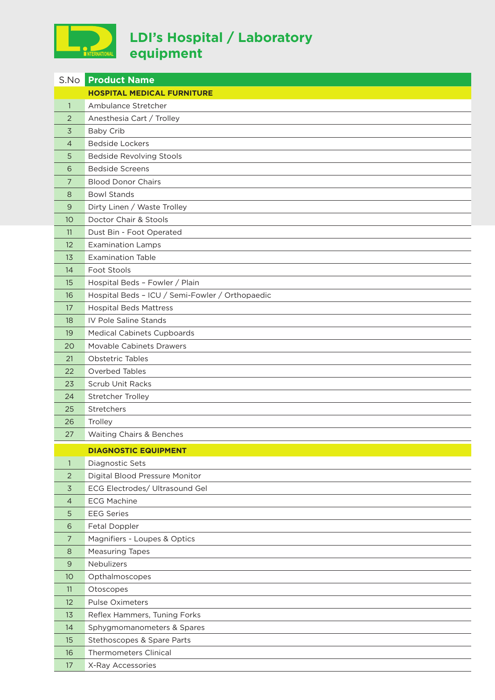

## **LDI's Hospital / Laboratory equipment**

|                | <b>S.No Product Name</b>                        |
|----------------|-------------------------------------------------|
|                | <b>HOSPITAL MEDICAL FURNITURE</b>               |
| $\mathbf{1}$   | Ambulance Stretcher                             |
| 2              | Anesthesia Cart / Trolley                       |
| 3              | <b>Baby Crib</b>                                |
| $\overline{4}$ | <b>Bedside Lockers</b>                          |
| 5              | <b>Bedside Revolving Stools</b>                 |
| 6              | <b>Bedside Screens</b>                          |
| 7              | <b>Blood Donor Chairs</b>                       |
| 8              | <b>Bowl Stands</b>                              |
| 9              | Dirty Linen / Waste Trolley                     |
| 10             | Doctor Chair & Stools                           |
| 11             | Dust Bin - Foot Operated                        |
| 12             | <b>Examination Lamps</b>                        |
| 13             | <b>Examination Table</b>                        |
| 14             | Foot Stools                                     |
| 15             | Hospital Beds - Fowler / Plain                  |
| 16             | Hospital Beds - ICU / Semi-Fowler / Orthopaedic |
| 17             | <b>Hospital Beds Mattress</b>                   |
| 18             | IV Pole Saline Stands                           |
| 19             | <b>Medical Cabinets Cupboards</b>               |
| 20             | <b>Movable Cabinets Drawers</b>                 |
| 21             | <b>Obstetric Tables</b>                         |
| 22             | Overbed Tables                                  |
| 23             | Scrub Unit Racks                                |
| 24             | Stretcher Trolley                               |
| 25             | Stretchers                                      |
| 26             | Trolley                                         |
| 27             | Waiting Chairs & Benches                        |
|                | <b>DIAGNOSTIC EQUIPMENT</b>                     |
| $\mathbf{1}$   | Diagnostic Sets                                 |
| 2              | Digital Blood Pressure Monitor                  |
| $\overline{3}$ | ECG Electrodes/ Ultrasound Gel                  |
| 4              | <b>ECG Machine</b>                              |
| 5              | <b>EEG Series</b>                               |
| 6              | Fetal Doppler                                   |
| 7              | Magnifiers - Loupes & Optics                    |
| 8              | <b>Measuring Tapes</b>                          |
| $9$            | Nebulizers                                      |
| 10             | Opthalmoscopes                                  |
| 11             | Otoscopes                                       |
| 12             | <b>Pulse Oximeters</b>                          |
| 13             | Reflex Hammers, Tuning Forks                    |
| 14             | Sphygmomanometers & Spares                      |
| 15             | Stethoscopes & Spare Parts                      |
| 16             | <b>Thermometers Clinical</b>                    |
| 17             | X-Ray Accessories                               |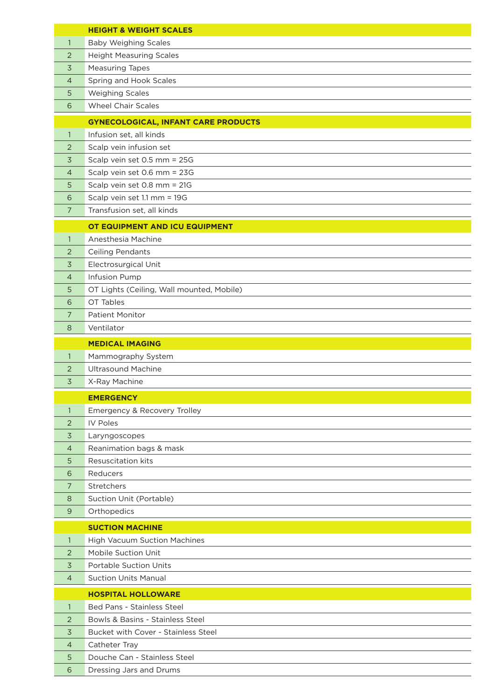|                   | <b>HEIGHT &amp; WEIGHT SCALES</b>                    |
|-------------------|------------------------------------------------------|
| $\mathbf{1}$      | <b>Baby Weighing Scales</b>                          |
| 2                 | <b>Height Measuring Scales</b>                       |
| 3                 | <b>Measuring Tapes</b>                               |
| 4                 | Spring and Hook Scales                               |
| 5                 | <b>Weighing Scales</b>                               |
| 6                 | <b>Wheel Chair Scales</b>                            |
|                   |                                                      |
|                   | <b>GYNECOLOGICAL, INFANT CARE PRODUCTS</b>           |
| $\mathbf{1}$<br>2 | Infusion set, all kinds<br>Scalp vein infusion set   |
|                   |                                                      |
| 3                 | Scalp vein set 0.5 mm = 25G                          |
| 4                 | Scalp vein set 0.6 mm = 23G                          |
| 5                 | Scalp vein set 0.8 mm = 21G                          |
| 6                 | Scalp vein set 1.1 mm = 19G                          |
| 7                 | Transfusion set, all kinds                           |
|                   | OT EQUIPMENT AND ICU EQUIPMENT                       |
| $\mathbf{1}$      | Anesthesia Machine                                   |
| 2                 | <b>Ceiling Pendants</b>                              |
| 3                 | <b>Electrosurgical Unit</b>                          |
| $\overline{4}$    | Infusion Pump                                        |
| 5                 | OT Lights (Ceiling, Wall mounted, Mobile)            |
| 6                 | OT Tables                                            |
| 7                 | <b>Patient Monitor</b>                               |
| 8                 | Ventilator                                           |
|                   | <b>MEDICAL IMAGING</b>                               |
| 1                 | Mammography System                                   |
| 2                 | <b>Ultrasound Machine</b>                            |
| 3                 | X-Ray Machine                                        |
|                   | <b>EMERGENCY</b>                                     |
| 1                 | Emergency & Recovery Trolley                         |
| 2                 | <b>IV Poles</b>                                      |
|                   |                                                      |
| 3                 | Laryngoscopes                                        |
| 4<br>5            | Reanimation bags & mask<br><b>Resuscitation kits</b> |
| 6                 | Reducers                                             |
| 7                 | Stretchers                                           |
| 8                 | Suction Unit (Portable)                              |
| $\mathsf{9}$      | Orthopedics                                          |
|                   |                                                      |
|                   | <b>SUCTION MACHINE</b>                               |
| 1                 | High Vacuum Suction Machines                         |
| 2                 | Mobile Suction Unit                                  |
| 3                 | <b>Portable Suction Units</b>                        |
| 4                 | <b>Suction Units Manual</b>                          |
|                   | <b>HOSPITAL HOLLOWARE</b>                            |
| $\mathbf{1}$      | Bed Pans - Stainless Steel                           |
| 2                 | Bowls & Basins - Stainless Steel                     |
| 3                 | Bucket with Cover - Stainless Steel                  |
| 4                 | Catheter Tray                                        |
| 5                 | Douche Can - Stainless Steel                         |
| 6                 | Dressing Jars and Drums                              |